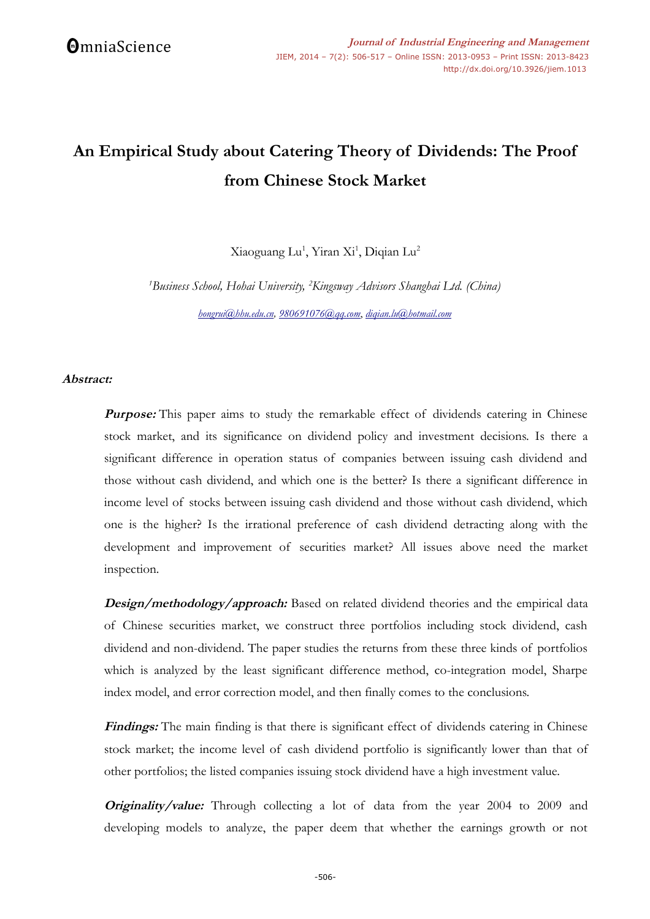# **An Empirical Study about Catering Theory of Dividends: The Proof from Chinese Stock Market**

Xiaoguang Lu<sup>1</sup>, Yiran Xi<sup>1</sup>, Diqian Lu<sup>2</sup>

*<sup>1</sup>Business School, Hohai University, <sup>2</sup>Kingsway Advisors Shanghai Ltd. (China) [hongrui@hhu.edu.cn,](mailto:hongrui@hhu.edu.cn) [980691076@qq.com](mailto:980691076@qq.com)*, *[diqian.lu@hotmail.com](mailto:diqian.lu@hotmail.com)*

### **Abstract:**

**Purpose:** This paper aims to study the remarkable effect of dividends catering in Chinese stock market, and its significance on dividend policy and investment decisions. Is there a significant difference in operation status of companies between issuing cash dividend and those without cash dividend, and which one is the better? Is there a significant difference in income level of stocks between issuing cash dividend and those without cash dividend, which one is the higher? Is the irrational preference of cash dividend detracting along with the development and improvement of securities market? All issues above need the market inspection.

**Design/methodology/approach:** Based on related dividend theories and the empirical data of Chinese securities market, we construct three portfolios including stock dividend, cash dividend and non-dividend. The paper studies the returns from these three kinds of portfolios which is analyzed by the least significant difference method, co-integration model, Sharpe index model, and error correction model, and then finally comes to the conclusions.

**Findings:** The main finding is that there is significant effect of dividends catering in Chinese stock market; the income level of cash dividend portfolio is significantly lower than that of other portfolios; the listed companies issuing stock dividend have a high investment value.

**Originality/value:** Through collecting a lot of data from the year 2004 to 2009 and developing models to analyze, the paper deem that whether the earnings growth or not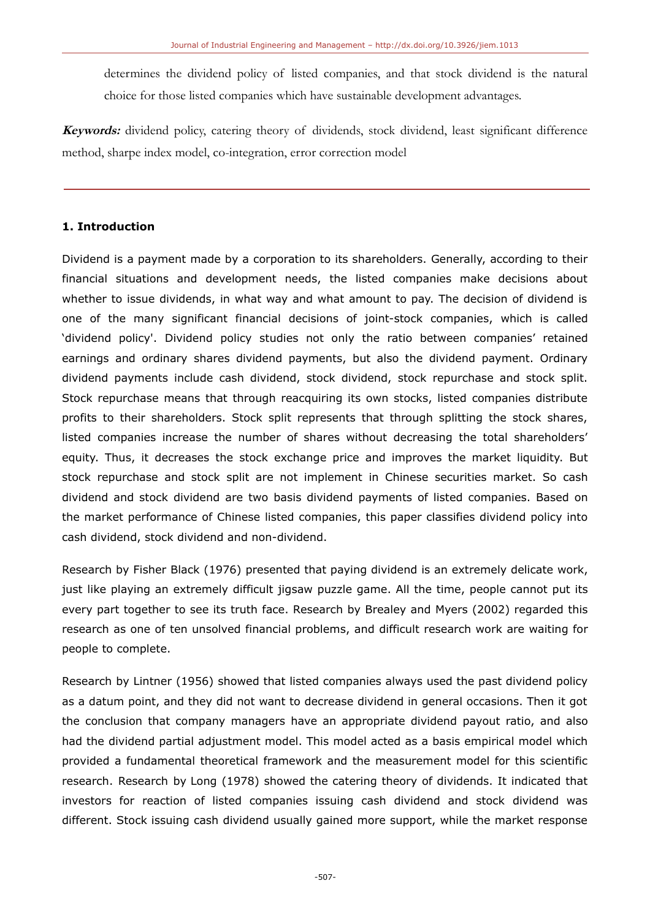determines the dividend policy of listed companies, and that stock dividend is the natural choice for those listed companies which have sustainable development advantages.

**Keywords:** dividend policy, catering theory of dividends, stock dividend, least significant difference method, sharpe index model, co-integration, error correction model

### **1. Introduction**

Dividend is a payment made by a corporation to its shareholders. Generally, according to their financial situations and development needs, the listed companies make decisions about whether to issue dividends, in what way and what amount to pay. The decision of dividend is one of the many significant financial decisions of joint-stock companies, which is called 'dividend policy'. Dividend policy studies not only the ratio between companies' retained earnings and ordinary shares dividend payments, but also the dividend payment. Ordinary dividend payments include cash dividend, stock dividend, stock repurchase and stock split. Stock repurchase means that through reacquiring its own stocks, listed companies distribute profits to their shareholders. Stock split represents that through splitting the stock shares, listed companies increase the number of shares without decreasing the total shareholders' equity. Thus, it decreases the stock exchange price and improves the market liquidity. But stock repurchase and stock split are not implement in Chinese securities market. So cash dividend and stock dividend are two basis dividend payments of listed companies. Based on the market performance of Chinese listed companies, this paper classifies dividend policy into cash dividend, stock dividend and non-dividend.

Research by Fisher Black (1976) presented that paying dividend is an extremely delicate work, just like playing an extremely difficult jigsaw puzzle game. All the time, people cannot put its every part together to see its truth face. Research by Brealey and Myers (2002) regarded this research as one of ten unsolved financial problems, and difficult research work are waiting for people to complete.

Research by Lintner (1956) showed that listed companies always used the past dividend policy as a datum point, and they did not want to decrease dividend in general occasions. Then it got the conclusion that company managers have an appropriate dividend payout ratio, and also had the dividend partial adjustment model. This model acted as a basis empirical model which provided a fundamental theoretical framework and the measurement model for this scientific research. Research by Long (1978) showed the catering theory of dividends. It indicated that investors for reaction of listed companies issuing cash dividend and stock dividend was different. Stock issuing cash dividend usually gained more support, while the market response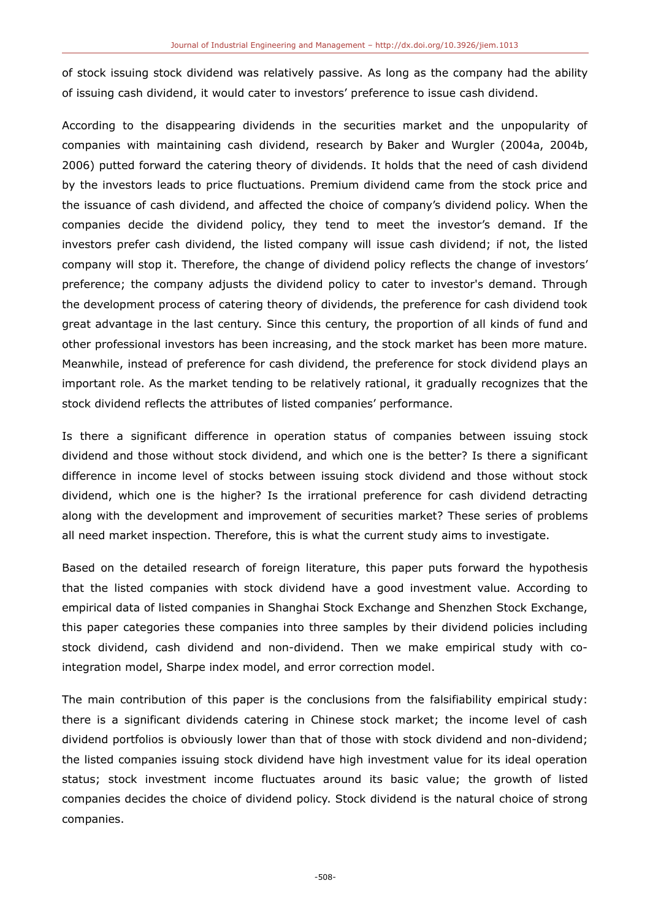of stock issuing stock dividend was relatively passive. As long as the company had the ability of issuing cash dividend, it would cater to investors' preference to issue cash dividend.

According to the disappearing dividends in the securities market and the unpopularity of companies with maintaining cash dividend, research by Baker and Wurgler (2004a, 2004b, 2006) putted forward the catering theory of dividends. It holds that the need of cash dividend by the investors leads to price fluctuations. Premium dividend came from the stock price and the issuance of cash dividend, and affected the choice of company's dividend policy. When the companies decide the dividend policy, they tend to meet the investor's demand. If the investors prefer cash dividend, the listed company will issue cash dividend; if not, the listed company will stop it. Therefore, the change of dividend policy reflects the change of investors' preference; the company adjusts the dividend policy to cater to investor's demand. Through the development process of catering theory of dividends, the preference for cash dividend took great advantage in the last century. Since this century, the proportion of all kinds of fund and other professional investors has been increasing, and the stock market has been more mature. Meanwhile, instead of preference for cash dividend, the preference for stock dividend plays an important role. As the market tending to be relatively rational, it gradually recognizes that the stock dividend reflects the attributes of listed companies' performance.

Is there a significant difference in operation status of companies between issuing stock dividend and those without stock dividend, and which one is the better? Is there a significant difference in income level of stocks between issuing stock dividend and those without stock dividend, which one is the higher? Is the irrational preference for cash dividend detracting along with the development and improvement of securities market? These series of problems all need market inspection. Therefore, this is what the current study aims to investigate.

Based on the detailed research of foreign literature, this paper puts forward the hypothesis that the listed companies with stock dividend have a good investment value. According to empirical data of listed companies in Shanghai Stock Exchange and Shenzhen Stock Exchange, this paper categories these companies into three samples by their dividend policies including stock dividend, cash dividend and non-dividend. Then we make empirical study with cointegration model, Sharpe index model, and error correction model.

The main contribution of this paper is the conclusions from the falsifiability empirical study: there is a significant dividends catering in Chinese stock market; the income level of cash dividend portfolios is obviously lower than that of those with stock dividend and non-dividend; the listed companies issuing stock dividend have high investment value for its ideal operation status; stock investment income fluctuates around its basic value; the growth of listed companies decides the choice of dividend policy. Stock dividend is the natural choice of strong companies.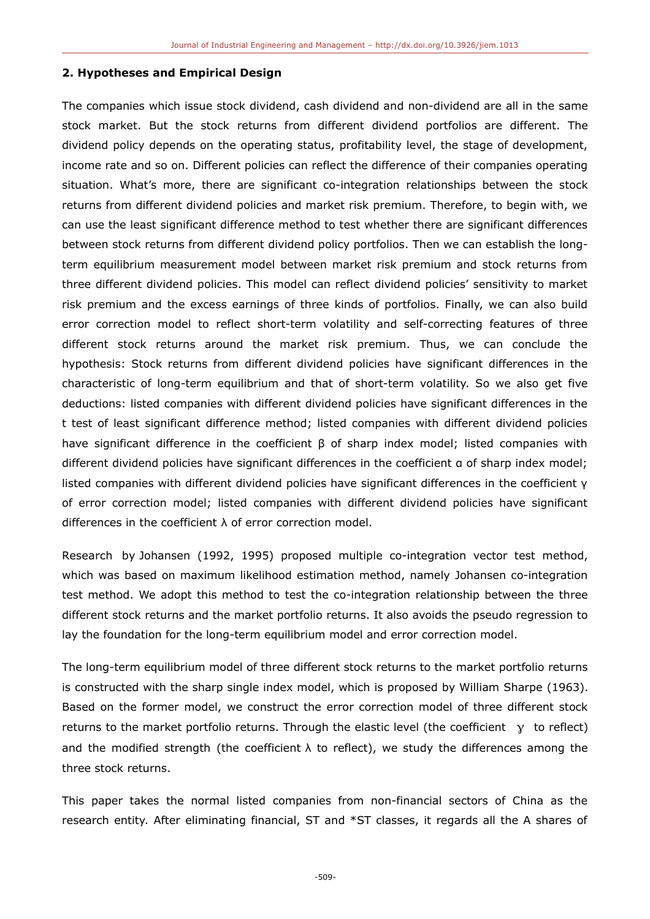#### **2. Hypotheses and Empirical Design**

The companies which issue stock dividend, cash dividend and non-dividend are all in the same stock market. But the stock returns from different dividend portfolios are different. The dividend policy depends on the operating status, profitability level, the stage of development, income rate and so on. Different policies can reflect the difference of their companies operating situation. What's more, there are significant co-integration relationships between the stock returns from different dividend policies and market risk premium. Therefore, to begin with, we can use the least significant difference method to test whether there are significant differences between stock returns from different dividend policy portfolios. Then we can establish the longterm equilibrium measurement model between market risk premium and stock returns from three different dividend policies. This model can reflect dividend policies' sensitivity to market risk premium and the excess earnings of three kinds of portfolios. Finally, we can also build error correction model to reflect short-term volatility and self-correcting features of three different stock returns around the market risk premium. Thus, we can conclude the hypothesis: Stock returns from different dividend policies have significant differences in the characteristic of long-term equilibrium and that of short-term volatility. So we also get five deductions: listed companies with different dividend policies have significant differences in the t test of least significant difference method; listed companies with different dividend policies have significant difference in the coefficient β of sharp index model; listed companies with different dividend policies have significant differences in the coefficient α of sharp index model; listed companies with different dividend policies have significant differences in the coefficient γ of error correction model; listed companies with different dividend policies have significant differences in the coefficient λ of error correction model.

Research by Johansen (1992, 1995) proposed multiple co-integration vector test method, which was based on maximum likelihood estimation method, namely Johansen co-integration test method. We adopt this method to test the co-integration relationship between the three different stock returns and the market portfolio returns. It also avoids the pseudo regression to lay the foundation for the long-term equilibrium model and error correction model.

The long-term equilibrium model of three different stock returns to the market portfolio returns is constructed with the sharp single index model, which is proposed by William Sharpe (1963). Based on the former model, we construct the error correction model of three different stock returns to the market portfolio returns. Through the elastic level (the coefficient  $\gamma$  to reflect) and the modified strength (the coefficient  $\lambda$  to reflect), we study the differences among the three stock returns.

This paper takes the normal listed companies from non-financial sectors of China as the research entity. After eliminating financial, ST and \*ST classes, it regards all the A shares of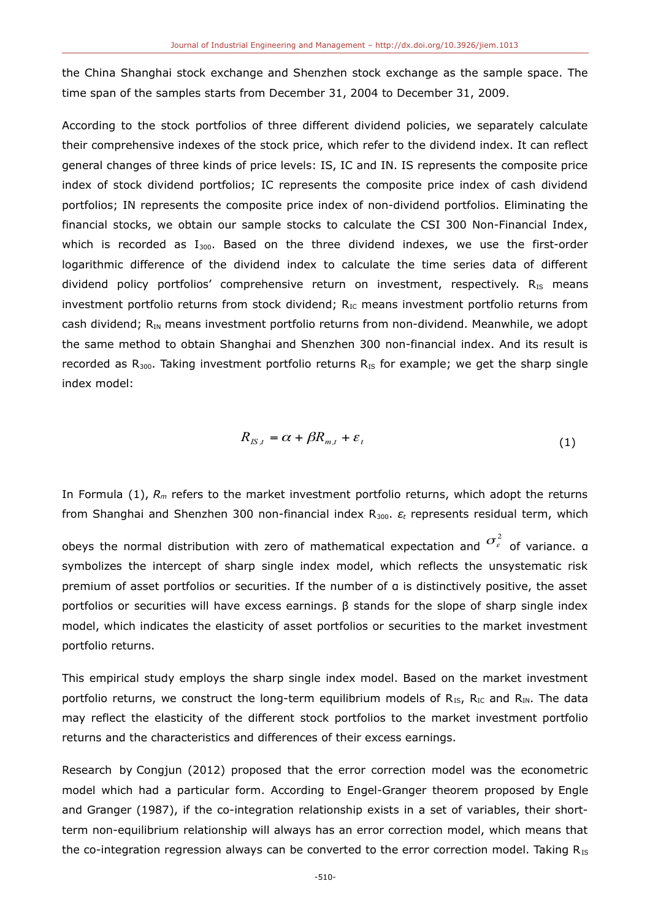the China Shanghai stock exchange and Shenzhen stock exchange as the sample space. The time span of the samples starts from December 31, 2004 to December 31, 2009.

According to the stock portfolios of three different dividend policies, we separately calculate their comprehensive indexes of the stock price, which refer to the dividend index. It can reflect general changes of three kinds of price levels: IS, IC and IN. IS represents the composite price index of stock dividend portfolios; IC represents the composite price index of cash dividend portfolios; IN represents the composite price index of non-dividend portfolios. Eliminating the financial stocks, we obtain our sample stocks to calculate the CSI 300 Non-Financial Index, which is recorded as  $I_{300}$ . Based on the three dividend indexes, we use the first-order logarithmic difference of the dividend index to calculate the time series data of different dividend policy portfolios' comprehensive return on investment, respectively.  $R_{IS}$  means investment portfolio returns from stock dividend;  $R_{IC}$  means investment portfolio returns from cash dividend;  $R_{IN}$  means investment portfolio returns from non-dividend. Meanwhile, we adopt the same method to obtain Shanghai and Shenzhen 300 non-financial index. And its result is recorded as  $R_{300}$ . Taking investment portfolio returns  $R_{IS}$  for example; we get the sharp single index model:

$$
R_{K,t} = \alpha + \beta R_{m,t} + \varepsilon_t \tag{1}
$$

In Formula (1), *Rm* refers to the market investment portfolio returns, which adopt the returns from Shanghai and Shenzhen 300 non-financial index R300. *ε<sup>t</sup>* represents residual term, which

obeys the normal distribution with zero of mathematical expectation and  $\sigma_{\varepsilon}^2$  of variance. α symbolizes the intercept of sharp single index model, which reflects the unsystematic risk premium of asset portfolios or securities. If the number of α is distinctively positive, the asset portfolios or securities will have excess earnings. β stands for the slope of sharp single index model, which indicates the elasticity of asset portfolios or securities to the market investment portfolio returns.

This empirical study employs the sharp single index model. Based on the market investment portfolio returns, we construct the long-term equilibrium models of  $R_{IS}$ ,  $R_{IC}$  and  $R_{IN}$ . The data may reflect the elasticity of the different stock portfolios to the market investment portfolio returns and the characteristics and differences of their excess earnings.

Research by Congjun (2012) proposed that the error correction model was the econometric model which had a particular form. According to Engel-Granger theorem proposed by Engle and Granger (1987), if the co-integration relationship exists in a set of variables, their shortterm non-equilibrium relationship will always has an error correction model, which means that the co-integration regression always can be converted to the error correction model. Taking  $R_{IS}$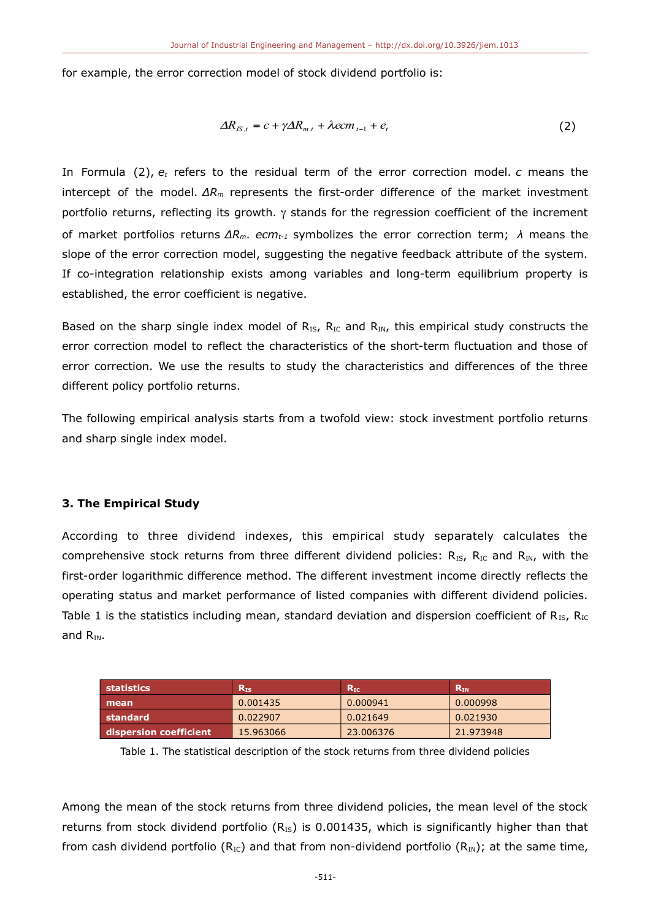for example, the error correction model of stock dividend portfolio is:

$$
\Delta R_{IS,t} = c + \gamma \Delta R_{m,t} + \lambda e cm_{t-1} + e_t \tag{2}
$$

In Formula (2), *et* refers to the residual term of the error correction model. *c* means the intercept of the model. *ΔRm* represents the first-order difference of the market investment portfolio returns, reflecting its growth.  $\gamma$  stands for the regression coefficient of the increment of market portfolios returns *ΔRm*. *ecmt-1* symbolizes the error correction term; *λ* means the slope of the error correction model, suggesting the negative feedback attribute of the system. If co-integration relationship exists among variables and long-term equilibrium property is established, the error coefficient is negative.

Based on the sharp single index model of  $R_{IS}$ ,  $R_{IC}$  and  $R_{IN}$ , this empirical study constructs the error correction model to reflect the characteristics of the short-term fluctuation and those of error correction. We use the results to study the characteristics and differences of the three different policy portfolio returns.

The following empirical analysis starts from a twofold view: stock investment portfolio returns and sharp single index model.

### **3. The Empirical Study**

According to three dividend indexes, this empirical study separately calculates the comprehensive stock returns from three different dividend policies:  $R_{IS}$ ,  $R_{IC}$  and  $R_{IN}$ , with the first-order logarithmic difference method. The different investment income directly reflects the operating status and market performance of listed companies with different dividend policies. Table 1 is the statistics including mean, standard deviation and dispersion coefficient of  $R_{IS}$ ,  $R_{IC}$ and  $R_{\text{IM}}$ .

| statistics             | ${\bf R}_{\rm IS}$ | $\mathsf{R}_{\mathrm{IC}}$ | $\mathsf{R}_{\texttt{IN}}$ |
|------------------------|--------------------|----------------------------|----------------------------|
| mean                   | 0.001435           | 0.000941                   | 0.000998                   |
| standard               | 0.022907           | 0.021649                   | 0.021930                   |
| dispersion coefficient | 15.963066          | 23,006376                  | 21.973948                  |

Table 1. The statistical description of the stock returns from three dividend policies

Among the mean of the stock returns from three dividend policies, the mean level of the stock returns from stock dividend portfolio ( $R_{IS}$ ) is 0.001435, which is significantly higher than that from cash dividend portfolio ( $R_{IC}$ ) and that from non-dividend portfolio ( $R_{IN}$ ); at the same time,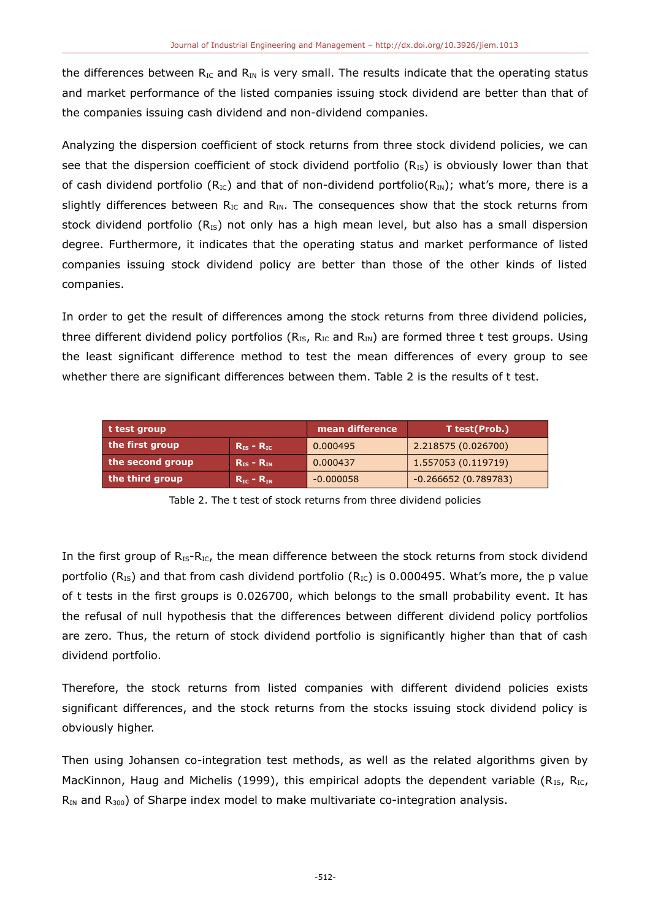the differences between  $R_{IC}$  and  $R_{IN}$  is very small. The results indicate that the operating status and market performance of the listed companies issuing stock dividend are better than that of the companies issuing cash dividend and non-dividend companies.

Analyzing the dispersion coefficient of stock returns from three stock dividend policies, we can see that the dispersion coefficient of stock dividend portfolio ( $R_{IS}$ ) is obviously lower than that of cash dividend portfolio ( $R_{IC}$ ) and that of non-dividend portfolio( $R_{IN}$ ); what's more, there is a slightly differences between  $R_{IC}$  and  $R_{IN}$ . The consequences show that the stock returns from stock dividend portfolio  $(R_{IS})$  not only has a high mean level, but also has a small dispersion degree. Furthermore, it indicates that the operating status and market performance of listed companies issuing stock dividend policy are better than those of the other kinds of listed companies.

In order to get the result of differences among the stock returns from three dividend policies, three different dividend policy portfolios ( $R_{IS}$ ,  $R_{IC}$  and  $R_{IN}$ ) are formed three t test groups. Using the least significant difference method to test the mean differences of every group to see whether there are significant differences between them. Table 2 is the results of t test.

| t test group     |                                 | mean difference | T test(Prob.)         |
|------------------|---------------------------------|-----------------|-----------------------|
| the first group  | $R_{IS}$ – $R_{IC}$             | 0.000495        | 2.218575 (0.026700)   |
| the second group | $R_{IS} - R_{IN}$               | 0.000437        | 1.557053 (0.119719)   |
| the third group  | $R_{\text{IC}} - R_{\text{IN}}$ | $-0.000058$     | $-0.266652(0.789783)$ |

Table 2. The t test of stock returns from three dividend policies

In the first group of  $R_{IS}-R_{IC}$ , the mean difference between the stock returns from stock dividend portfolio ( $R_{IS}$ ) and that from cash dividend portfolio ( $R_{IC}$ ) is 0.000495. What's more, the p value of t tests in the first groups is 0.026700, which belongs to the small probability event. It has the refusal of null hypothesis that the differences between different dividend policy portfolios are zero. Thus, the return of stock dividend portfolio is significantly higher than that of cash dividend portfolio.

Therefore, the stock returns from listed companies with different dividend policies exists significant differences, and the stock returns from the stocks issuing stock dividend policy is obviously higher.

Then using Johansen co-integration test methods, as well as the related algorithms given by MacKinnon, Haug and Michelis (1999), this empirical adopts the dependent variable ( $R_{IS}$ ,  $R_{IC}$ ,  $R_{IN}$  and  $R_{300}$ ) of Sharpe index model to make multivariate co-integration analysis.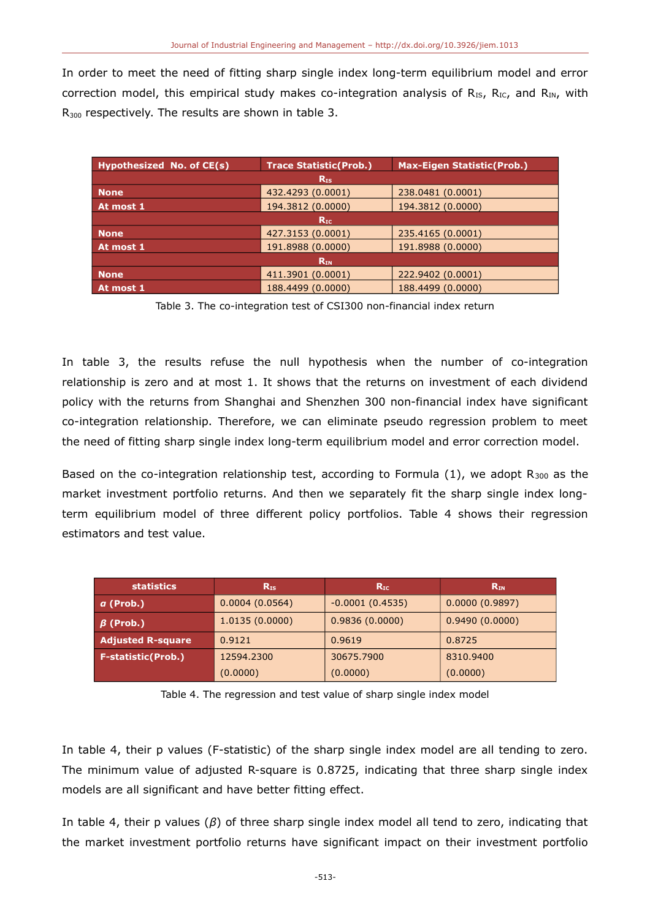In order to meet the need of fitting sharp single index long-term equilibrium model and error correction model, this empirical study makes co-integration analysis of  $R_{IS}$ ,  $R_{IC}$ , and  $R_{IN}$ , with R<sub>300</sub> respectively. The results are shown in table 3.

| Hypothesized No. of CE(s) | <b>Trace Statistic (Prob.)</b> | <b>Max-Eigen Statistic(Prob.)</b> |  |  |
|---------------------------|--------------------------------|-----------------------------------|--|--|
| $R_{IS}$                  |                                |                                   |  |  |
| <b>None</b>               | 432.4293 (0.0001)              | 238.0481 (0.0001)                 |  |  |
| At most 1                 | 194.3812 (0.0000)              | 194.3812 (0.0000)                 |  |  |
| $R_{\rm IC}$              |                                |                                   |  |  |
| <b>None</b>               | 427.3153 (0.0001)              | 235.4165 (0.0001)                 |  |  |
| At most 1                 | 191.8988 (0.0000)              | 191.8988 (0.0000)                 |  |  |
| $R_{IN}$                  |                                |                                   |  |  |
| <b>None</b>               | 411.3901 (0.0001)              | 222.9402 (0.0001)                 |  |  |
| At most 1                 | 188.4499 (0.0000)              | 188.4499 (0.0000)                 |  |  |

Table 3. The co-integration test of CSI300 non-financial index return

In table 3, the results refuse the null hypothesis when the number of co-integration relationship is zero and at most 1. It shows that the returns on investment of each dividend policy with the returns from Shanghai and Shenzhen 300 non-financial index have significant co-integration relationship. Therefore, we can eliminate pseudo regression problem to meet the need of fitting sharp single index long-term equilibrium model and error correction model.

Based on the co-integration relationship test, according to Formula  $(1)$ , we adopt R<sub>300</sub> as the market investment portfolio returns. And then we separately fit the sharp single index longterm equilibrium model of three different policy portfolios. Table 4 shows their regression estimators and test value.

| <b>statistics</b>         | $R_{IS}$       | $R_{\rm IC}$      | $R_{IN}$       |
|---------------------------|----------------|-------------------|----------------|
| $a$ (Prob.)               | 0.0004(0.0564) | $-0.0001(0.4535)$ | 0.0000(0.9897) |
| $\beta$ (Prob.)           | 1.0135(0.0000) | 0.9836(0.0000)    | 0.9490(0.0000) |
| <b>Adjusted R-square</b>  | 0.9121         | 0.9619            | 0.8725         |
| <b>F-statistic(Prob.)</b> | 12594.2300     | 30675.7900        | 8310.9400      |
|                           | (0.0000)       | (0.0000)          | (0.0000)       |

Table 4. The regression and test value of sharp single index model

In table 4, their p values (F-statistic) of the sharp single index model are all tending to zero. The minimum value of adjusted R-square is 0.8725, indicating that three sharp single index models are all significant and have better fitting effect.

In table 4, their p values (*β*) of three sharp single index model all tend to zero, indicating that the market investment portfolio returns have significant impact on their investment portfolio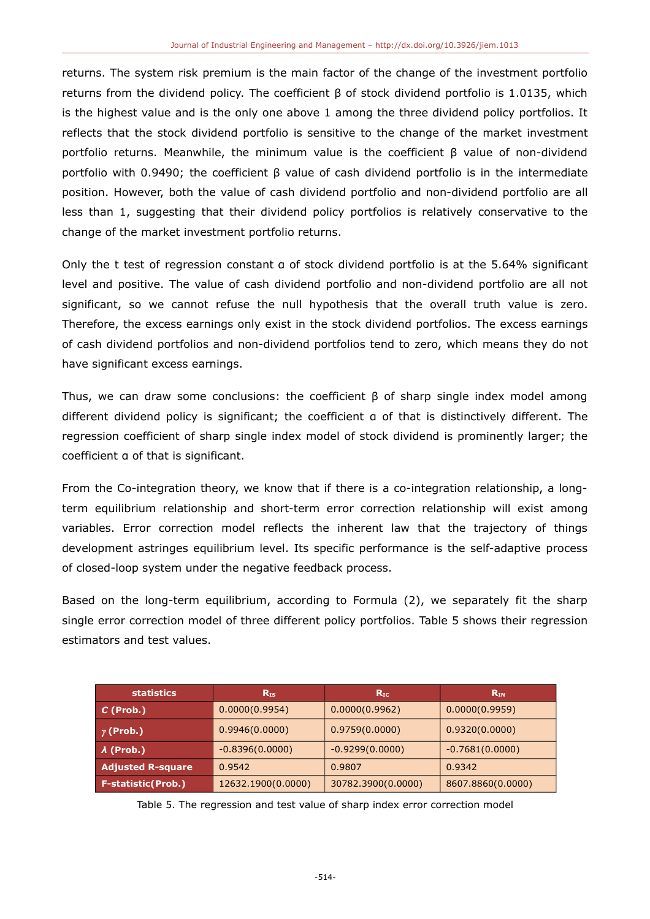returns. The system risk premium is the main factor of the change of the investment portfolio returns from the dividend policy. The coefficient β of stock dividend portfolio is 1.0135, which is the highest value and is the only one above 1 among the three dividend policy portfolios. It reflects that the stock dividend portfolio is sensitive to the change of the market investment portfolio returns. Meanwhile, the minimum value is the coefficient β value of non-dividend portfolio with 0.9490; the coefficient β value of cash dividend portfolio is in the intermediate position. However, both the value of cash dividend portfolio and non-dividend portfolio are all less than 1, suggesting that their dividend policy portfolios is relatively conservative to the change of the market investment portfolio returns.

Only the t test of regression constant α of stock dividend portfolio is at the 5.64% significant level and positive. The value of cash dividend portfolio and non-dividend portfolio are all not significant, so we cannot refuse the null hypothesis that the overall truth value is zero. Therefore, the excess earnings only exist in the stock dividend portfolios. The excess earnings of cash dividend portfolios and non-dividend portfolios tend to zero, which means they do not have significant excess earnings.

Thus, we can draw some conclusions: the coefficient  $\beta$  of sharp single index model among different dividend policy is significant; the coefficient α of that is distinctively different. The regression coefficient of sharp single index model of stock dividend is prominently larger; the coefficient α of that is significant.

From the Co-integration theory, we know that if there is a co-integration relationship, a longterm equilibrium relationship and short-term error correction relationship will exist among variables. Error correction model reflects the inherent law that the trajectory of things development astringes equilibrium level. Its specific performance is the self-adaptive process of closed-loop system under the negative feedback process.

Based on the long-term equilibrium, according to Formula (2), we separately fit the sharp single error correction model of three different policy portfolios. Table 5 shows their regression estimators and test values.

| statistics'               | $R_{IS}$           | $R_{\rm IC}$       | $R_{IN}$          |
|---------------------------|--------------------|--------------------|-------------------|
| $C$ (Prob.)               | 0.0000(0.9954)     | 0.0000(0.9962)     | 0.0000(0.9959)    |
| $\boxed{\gamma}$ (Prob.)  | 0.9946(0.0000)     | 0.9759(0.0000)     | 0.9320(0.0000)    |
| $\lambda$ (Prob.)         | $-0.8396(0.0000)$  | $-0.9299(0.0000)$  | $-0.7681(0.0000)$ |
| <b>Adjusted R-square</b>  | 0.9542             | 0.9807             | 0.9342            |
| <b>F-statistic(Prob.)</b> | 12632.1900(0.0000) | 30782.3900(0.0000) | 8607.8860(0.0000) |

Table 5. The regression and test value of sharp index error correction model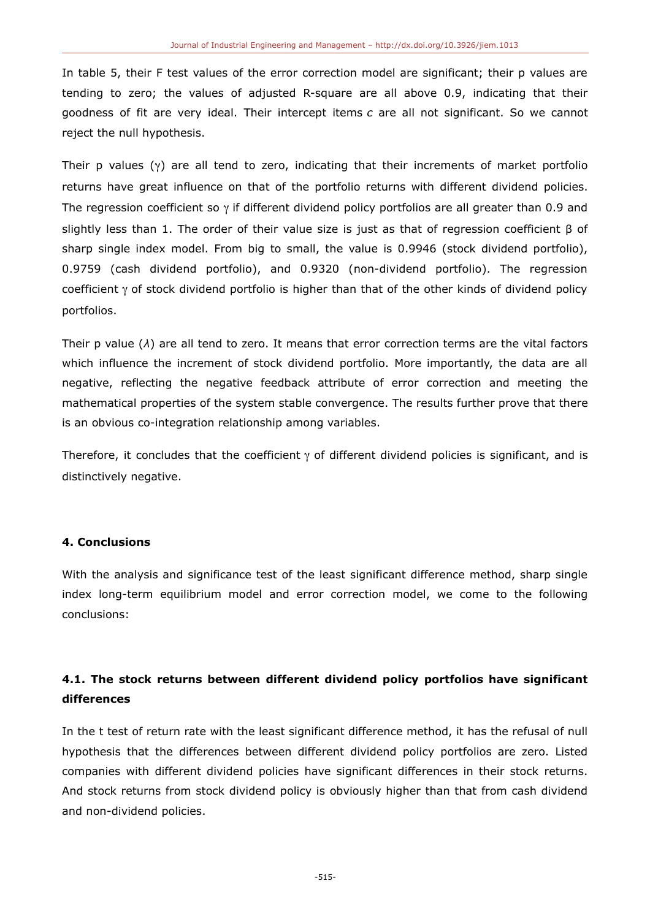In table 5, their F test values of the error correction model are significant; their p values are tending to zero; the values of adjusted R-square are all above 0.9, indicating that their goodness of fit are very ideal. Their intercept items *c* are all not significant. So we cannot reject the null hypothesis.

Their p values  $(y)$  are all tend to zero, indicating that their increments of market portfolio returns have great influence on that of the portfolio returns with different dividend policies. The regression coefficient so  $\gamma$  if different dividend policy portfolios are all greater than 0.9 and slightly less than 1. The order of their value size is just as that of regression coefficient  $\beta$  of sharp single index model. From big to small, the value is 0.9946 (stock dividend portfolio), 0.9759 (cash dividend portfolio), and 0.9320 (non-dividend portfolio). The regression coefficient  $\gamma$  of stock dividend portfolio is higher than that of the other kinds of dividend policy portfolios.

Their p value (*λ*) are all tend to zero. It means that error correction terms are the vital factors which influence the increment of stock dividend portfolio. More importantly, the data are all negative, reflecting the negative feedback attribute of error correction and meeting the mathematical properties of the system stable convergence. The results further prove that there is an obvious co-integration relationship among variables.

Therefore, it concludes that the coefficient  $\gamma$  of different dividend policies is significant, and is distinctively negative.

### **4. Conclusions**

With the analysis and significance test of the least significant difference method, sharp single index long-term equilibrium model and error correction model, we come to the following conclusions:

## **4.1. The stock returns between different dividend policy portfolios have significant differences**

In the t test of return rate with the least significant difference method, it has the refusal of null hypothesis that the differences between different dividend policy portfolios are zero. Listed companies with different dividend policies have significant differences in their stock returns. And stock returns from stock dividend policy is obviously higher than that from cash dividend and non-dividend policies.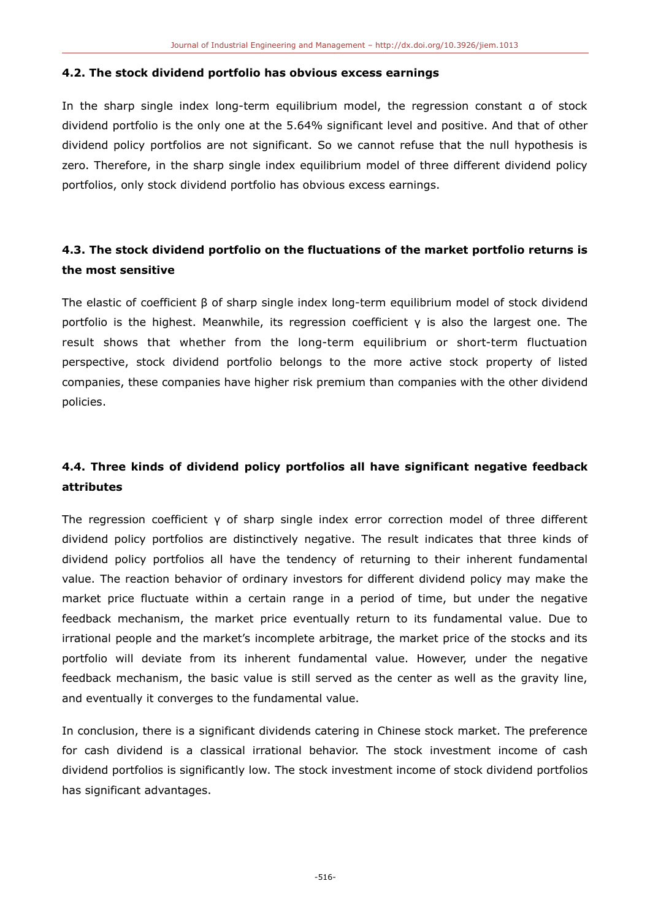#### **4.2. The stock dividend portfolio has obvious excess earnings**

In the sharp single index long-term equilibrium model, the regression constant α of stock dividend portfolio is the only one at the 5.64% significant level and positive. And that of other dividend policy portfolios are not significant. So we cannot refuse that the null hypothesis is zero. Therefore, in the sharp single index equilibrium model of three different dividend policy portfolios, only stock dividend portfolio has obvious excess earnings.

### **4.3. The stock dividend portfolio on the fluctuations of the market portfolio returns is the most sensitive**

The elastic of coefficient β of sharp single index long-term equilibrium model of stock dividend portfolio is the highest. Meanwhile, its regression coefficient γ is also the largest one. The result shows that whether from the long-term equilibrium or short-term fluctuation perspective, stock dividend portfolio belongs to the more active stock property of listed companies, these companies have higher risk premium than companies with the other dividend policies.

### **4.4. Three kinds of dividend policy portfolios all have significant negative feedback attributes**

The regression coefficient γ of sharp single index error correction model of three different dividend policy portfolios are distinctively negative. The result indicates that three kinds of dividend policy portfolios all have the tendency of returning to their inherent fundamental value. The reaction behavior of ordinary investors for different dividend policy may make the market price fluctuate within a certain range in a period of time, but under the negative feedback mechanism, the market price eventually return to its fundamental value. Due to irrational people and the market's incomplete arbitrage, the market price of the stocks and its portfolio will deviate from its inherent fundamental value. However, under the negative feedback mechanism, the basic value is still served as the center as well as the gravity line, and eventually it converges to the fundamental value.

In conclusion, there is a significant dividends catering in Chinese stock market. The preference for cash dividend is a classical irrational behavior. The stock investment income of cash dividend portfolios is significantly low. The stock investment income of stock dividend portfolios has significant advantages.